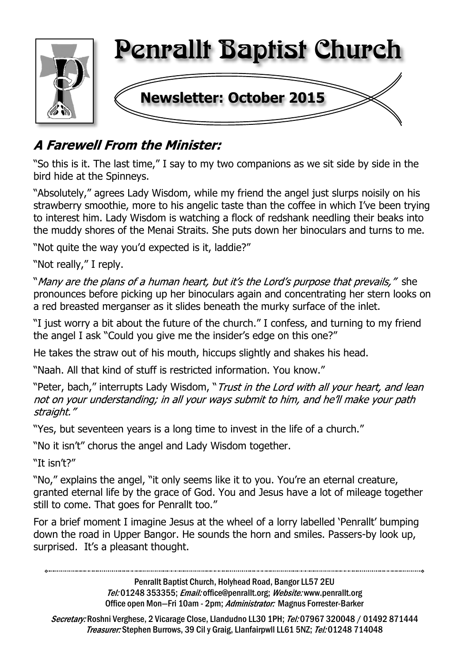

## **A Farewell From the Minister:**

"So this is it. The last time," I say to my two companions as we sit side by side in the bird hide at the Spinneys.

"Absolutely," agrees Lady Wisdom, while my friend the angel just slurps noisily on his strawberry smoothie, more to his angelic taste than the coffee in which I've been trying to interest him. Lady Wisdom is watching a flock of redshank needling their beaks into the muddy shores of the Menai Straits. She puts down her binoculars and turns to me.

"Not quite the way you'd expected is it, laddie?"

"Not really," I reply.

"Many are the plans of a human heart, but it's the Lord's purpose that prevails," she pronounces before picking up her binoculars again and concentrating her stern looks on a red breasted merganser as it slides beneath the murky surface of the inlet.

"I just worry a bit about the future of the church." I confess, and turning to my friend the angel I ask "Could you give me the insider's edge on this one?"

He takes the straw out of his mouth, hiccups slightly and shakes his head.

"Naah. All that kind of stuff is restricted information. You know."

"Peter, bach," interrupts Lady Wisdom, "Trust in the Lord with all your heart, and lean not on your understanding; in all your ways submit to him, and he'll make your path straight."

"Yes, but seventeen years is a long time to invest in the life of a church."

"No it isn't" chorus the angel and Lady Wisdom together.

"It isn't?"

"No," explains the angel, "it only seems like it to you. You're an eternal creature, granted eternal life by the grace of God. You and Jesus have a lot of mileage together still to come. That goes for Penrallt too."

For a brief moment I imagine Jesus at the wheel of a lorry labelled 'Penrallt' bumping down the road in Upper Bangor. He sounds the horn and smiles. Passers-by look up, surprised. It's a pleasant thought.

> Penrallt Baptist Church, Holyhead Road, Bangor LL57 2EU Tel:01248 353355; Email: office@penrallt.org; Website: www.penrallt.org Office open Mon-Fri 10am - 2pm; Administrator: Magnus Forrester-Barker

Secretary: Roshni Verghese, 2 Vicarage Close, Llandudno LL30 1PH; Tel: 07967 320048 / 01492 871444 Treasurer: Stephen Burrows, 39 Cil y Graig, Llanfairpwll LL61 5NZ; Tel: 01248 714048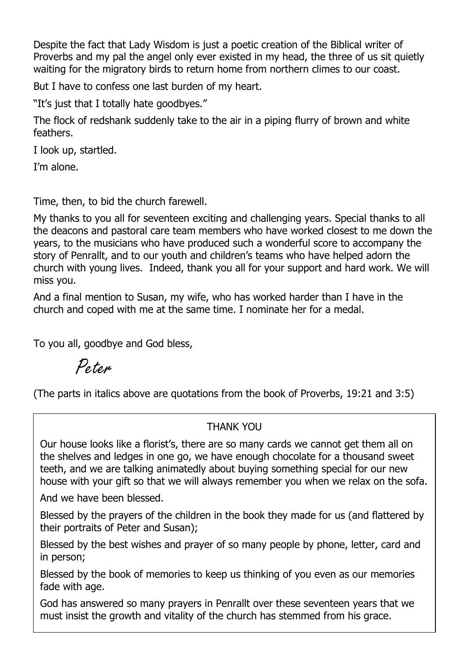Despite the fact that Lady Wisdom is just a poetic creation of the Biblical writer of Proverbs and my pal the angel only ever existed in my head, the three of us sit quietly waiting for the migratory birds to return home from northern climes to our coast.

But I have to confess one last burden of my heart.

"It's just that I totally hate goodbyes."

The flock of redshank suddenly take to the air in a piping flurry of brown and white feathers.

I look up, startled.

I'm alone.

Time, then, to bid the church farewell.

My thanks to you all for seventeen exciting and challenging years. Special thanks to all the deacons and pastoral care team members who have worked closest to me down the years, to the musicians who have produced such a wonderful score to accompany the story of Penrallt, and to our youth and children's teams who have helped adorn the church with young lives. Indeed, thank you all for your support and hard work. We will miss you.

And a final mention to Susan, my wife, who has worked harder than I have in the church and coped with me at the same time. I nominate her for a medal.

To you all, goodbye and God bless,

Peter

(The parts in italics above are quotations from the book of Proverbs, 19:21 and 3:5)

### THANK YOU

Our house looks like a florist's, there are so many cards we cannot get them all on the shelves and ledges in one go, we have enough chocolate for a thousand sweet teeth, and we are talking animatedly about buying something special for our new house with your gift so that we will always remember you when we relax on the sofa.

And we have been blessed.

Blessed by the prayers of the children in the book they made for us (and flattered by their portraits of Peter and Susan);

Blessed by the best wishes and prayer of so many people by phone, letter, card and in person;

Blessed by the book of memories to keep us thinking of you even as our memories fade with age.

God has answered so many prayers in Penrallt over these seventeen years that we must insist the growth and vitality of the church has stemmed from his grace.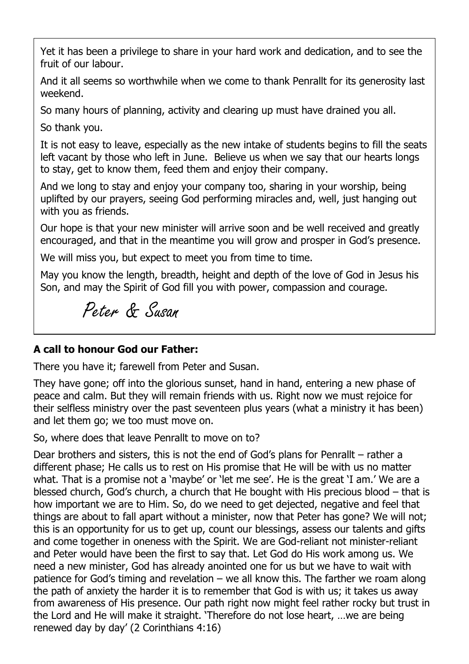Yet it has been a privilege to share in your hard work and dedication, and to see the fruit of our labour.

And it all seems so worthwhile when we come to thank Penrallt for its generosity last weekend.

So many hours of planning, activity and clearing up must have drained you all.

So thank you.

It is not easy to leave, especially as the new intake of students begins to fill the seats left vacant by those who left in June. Believe us when we say that our hearts longs to stay, get to know them, feed them and enjoy their company.

And we long to stay and enjoy your company too, sharing in your worship, being uplifted by our prayers, seeing God performing miracles and, well, just hanging out with you as friends.

Our hope is that your new minister will arrive soon and be well received and greatly encouraged, and that in the meantime you will grow and prosper in God's presence.

We will miss you, but expect to meet you from time to time.

May you know the length, breadth, height and depth of the love of God in Jesus his Son, and may the Spirit of God fill you with power, compassion and courage.

Peter & Susan

### **A call to honour God our Father:**

There you have it; farewell from Peter and Susan.

They have gone; off into the glorious sunset, hand in hand, entering a new phase of peace and calm. But they will remain friends with us. Right now we must rejoice for their selfless ministry over the past seventeen plus years (what a ministry it has been) and let them go; we too must move on.

So, where does that leave Penrallt to move on to?

Dear brothers and sisters, this is not the end of God's plans for Penrallt – rather a different phase; He calls us to rest on His promise that He will be with us no matter what. That is a promise not a 'maybe' or 'let me see'. He is the great 'I am.' We are a blessed church, God's church, a church that He bought with His precious blood – that is how important we are to Him. So, do we need to get dejected, negative and feel that things are about to fall apart without a minister, now that Peter has gone? We will not; this is an opportunity for us to get up, count our blessings, assess our talents and gifts and come together in oneness with the Spirit. We are God-reliant not minister-reliant and Peter would have been the first to say that. Let God do His work among us. We need a new minister, God has already anointed one for us but we have to wait with patience for God's timing and revelation – we all know this. The farther we roam along the path of anxiety the harder it is to remember that God is with us; it takes us away from awareness of His presence. Our path right now might feel rather rocky but trust in the Lord and He will make it straight. 'Therefore do not lose heart, …we are being renewed day by day' (2 Corinthians 4:16)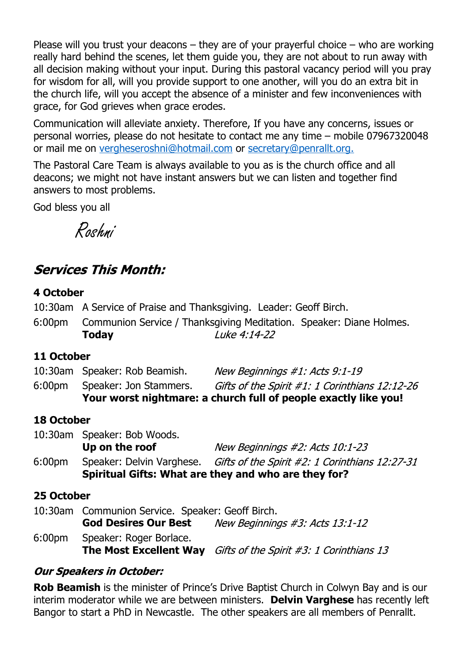Please will you trust your deacons  $-$  they are of your prayerful choice  $-$  who are working really hard behind the scenes, let them guide you, they are not about to run away with all decision making without your input. During this pastoral vacancy period will you pray for wisdom for all, will you provide support to one another, will you do an extra bit in the church life, will you accept the absence of a minister and few inconveniences with grace, for God grieves when grace erodes.

Communication will alleviate anxiety. Therefore, If you have any concerns, issues or personal worries, please do not hesitate to contact me any time – mobile 07967320048 or mail me on vergheseroshni@hotmail.com or secretary@penrallt.org.

The Pastoral Care Team is always available to you as is the church office and all deacons; we might not have instant answers but we can listen and together find answers to most problems.

God bless you all

Roshni

### **Services This Month:**

#### **4 October**

- 10:30am A Service of Praise and Thanksgiving. Leader: Geoff Birch.
- 6:00pm Communion Service / Thanksgiving Meditation. Speaker: Diane Holmes. **Today**  $I$ uke 4:14-22

#### **11 October**

|                    |                               | Your worst nightmare: a church full of people exactly like you! |
|--------------------|-------------------------------|-----------------------------------------------------------------|
| 6:00 <sub>pm</sub> | Speaker: Jon Stammers.        | Gifts of the Spirit #1: 1 Corinthians 12:12-26                  |
|                    | 10:30am Speaker: Rob Beamish. | New Beginnings #1: Acts 9:1-19                                  |

#### **18 October**

|                    | Spiritual Gifts: What are they and who are they for? |                                                                          |  |
|--------------------|------------------------------------------------------|--------------------------------------------------------------------------|--|
| 6:00 <sub>pm</sub> |                                                      | Speaker: Delvin Varghese. Gifts of the Spirit #2: 1 Corinthians 12:27-31 |  |
|                    | Up on the roof                                       | New Beginnings #2: Acts 10:1-23                                          |  |
|                    | 10:30am Speaker: Bob Woods.                          |                                                                          |  |

#### **25 October**

|        | 10:30am Communion Service. Speaker: Geoff Birch. |                                                                            |  |
|--------|--------------------------------------------------|----------------------------------------------------------------------------|--|
|        | <b>God Desires Our Best</b>                      | New Beginnings #3: Acts 13:1-12                                            |  |
| 6:00pm | Speaker: Roger Borlace.                          |                                                                            |  |
|        |                                                  | <b>The Most Excellent Way</b> Gifts of the Spirit $\#3$ : 1 Corinthians 13 |  |

#### **Our Speakers in October:**

**Rob Beamish** is the minister of Prince's Drive Baptist Church in Colwyn Bay and is our interim moderator while we are between ministers. **Delvin Varghese** has recently left Bangor to start a PhD in Newcastle. The other speakers are all members of Penrallt.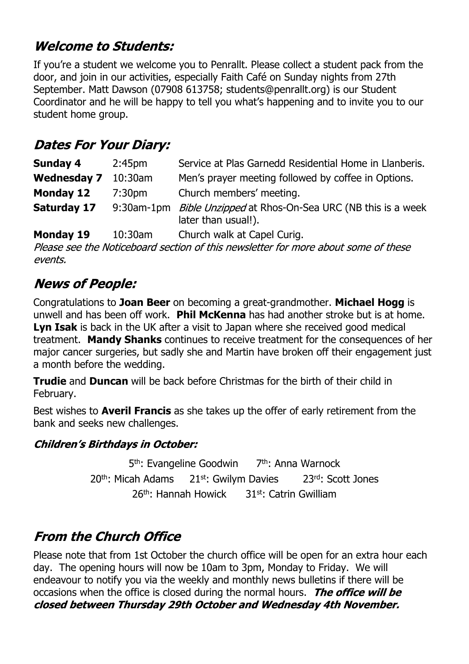## **Welcome to Students:**

If you're a student we welcome you to Penrallt. Please collect a student pack from the door, and join in our activities, especially Faith Café on Sunday nights from 27th September. Matt Dawson (07908 613758; students@penrallt.org) is our Student Coordinator and he will be happy to tell you what's happening and to invite you to our student home group.

## **Dates For Your Diary:**

| Sunday 4<br>2:45 <sub>pm</sub> |                                                                | Service at Plas Garnedd Residential Home in Llanberis.                                        |  |
|--------------------------------|----------------------------------------------------------------|-----------------------------------------------------------------------------------------------|--|
| <b>Wednesday 7</b>             | Men's prayer meeting followed by coffee in Options.<br>10:30am |                                                                                               |  |
| Monday 12                      | 7:30pm                                                         | Church members' meeting.                                                                      |  |
| <b>Saturday 17</b>             |                                                                | 9:30am-1pm <i>Bible Unzipped</i> at Rhos-On-Sea URC (NB this is a week<br>later than usual!). |  |
|                                |                                                                |                                                                                               |  |

**Monday 19** 10:30am Church walk at Capel Curig.

Please see the Noticeboard section of this newsletter for more about some of these events.

## **News of People:**

Congratulations to **Joan Beer** on becoming a great-grandmother. **Michael Hogg** is unwell and has been off work. **Phil McKenna** has had another stroke but is at home. **Lyn Isak** is back in the UK after a visit to Japan where she received good medical treatment. **Mandy Shanks** continues to receive treatment for the consequences of her major cancer surgeries, but sadly she and Martin have broken off their engagement just a month before the wedding.

**Trudie** and **Duncan** will be back before Christmas for the birth of their child in February.

Best wishes to **Averil Francis** as she takes up the offer of early retirement from the bank and seeks new challenges.

### **Children's Birthdays in October:**

5<sup>th</sup>: Evangeline Goodwin 7<sup>th</sup>: Anna Warnock 20<sup>th</sup>: Micah Adams 21st: Gwilym Davies 23rd: Scott Jones 26th: Hannah Howick 31st: Catrin Gwilliam

## **From the Church Office**

Please note that from 1st October the church office will be open for an extra hour each day. The opening hours will now be 10am to 3pm, Monday to Friday. We will endeavour to notify you via the weekly and monthly news bulletins if there will be occasions when the office is closed during the normal hours. The office will be closed between Thursday 29th October and Wednesday 4th November.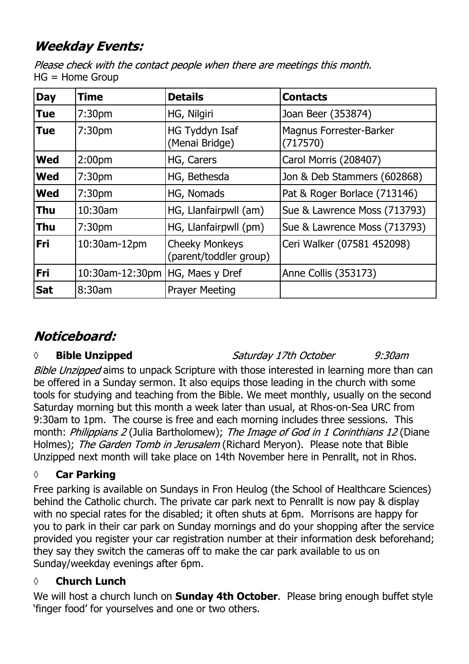## **Weekday Events:**

Please check with the contact people when there are meetings this month. HG = Home Group

| <b>Day</b> | <b>Time</b>                       | <b>Details</b>                                  | <b>Contacts</b>                            |
|------------|-----------------------------------|-------------------------------------------------|--------------------------------------------|
| <b>Tue</b> | 7:30 <sub>pm</sub>                | HG, Nilgiri                                     | Joan Beer (353874)                         |
| <b>Tue</b> | 7:30 <sub>pm</sub>                | <b>HG Tyddyn Isaf</b><br>(Menai Bridge)         | <b>Magnus Forrester-Barker</b><br>(717570) |
| <b>Wed</b> | 2:00 <sub>pm</sub>                | HG, Carers                                      | Carol Morris (208407)                      |
| <b>Wed</b> | 7:30 <sub>pm</sub>                | HG, Bethesda                                    | Jon & Deb Stammers (602868)                |
| <b>Wed</b> | 7:30 <sub>pm</sub>                | HG, Nomads                                      | Pat & Roger Borlace (713146)               |
| <b>Thu</b> | 10:30am                           | HG, Llanfairpwll (am)                           | Sue & Lawrence Moss (713793)               |
| <b>Thu</b> | 7:30 <sub>pm</sub>                | HG, Llanfairpwll (pm)                           | Sue & Lawrence Moss (713793)               |
| <b>Fri</b> | 10:30am-12pm                      | <b>Cheeky Monkeys</b><br>(parent/toddler group) | Ceri Walker (07581 452098)                 |
| <b>Fri</b> | 10:30am-12:30pm   HG, Maes y Dref |                                                 | Anne Collis (353173)                       |
| <b>Sat</b> | 8:30am                            | <b>Prayer Meeting</b>                           |                                            |

## Noticeboard:

### *◊* **Bible Unzipped**

Saturday 17th October  $9:30$ am

Bible Unzipped aims to unpack Scripture with those interested in learning more than can be offered in a Sunday sermon. It also equips those leading in the church with some tools for studying and teaching from the Bible. We meet monthly, usually on the second Saturday morning but this month a week later than usual, at Rhos-on-Sea URC from 9:30am to 1pm. The course is free and each morning includes three sessions. This month: Philippians 2 (Julia Bartholomew); The Image of God in 1 Corinthians 12 (Diane Holmes); The Garden Tomb in Jerusalem (Richard Meryon). Please note that Bible Unzipped next month will take place on 14th November here in Penrallt, not in Rhos.

### **◊ Car Parking**

Free parking is available on Sundays in Fron Heulog (the School of Healthcare Sciences) behind the Catholic church. The private car park next to Penrallt is now pay & display with no special rates for the disabled; it often shuts at 6pm. Morrisons are happy for you to park in their car park on Sunday mornings and do your shopping after the service provided you register your car registration number at their information desk beforehand; they say they switch the cameras off to make the car park available to us on Sunday/weekday evenings after 6pm.

### **◊ Church Lunch**

We will host a church lunch on **Sunday 4th October**. Please bring enough buffet style 'finger food' for yourselves and one or two others.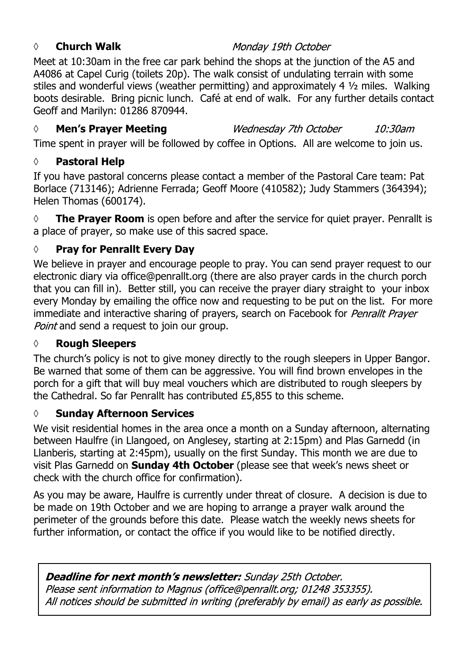#### *◊* **Church Walk**

### Monday 19th October

Meet at 10:30am in the free car park behind the shops at the junction of the A5 and A4086 at Capel Curig (toilets 20p). The walk consist of undulating terrain with some stiles and wonderful views (weather permitting) and approximately 4 ½ miles. Walking boots desirable. Bring picnic lunch. Café at end of walk. For any further details contact Geoff and Marilyn: 01286 870944.

#### *◊* **Men's Prayer Meeting**

Wednesday 7th October  $10:30$ am

Time spent in prayer will be followed by coffee in Options. All are welcome to join us.

### **◊ Pastoral Help**

If you have pastoral concerns please contact a member of the Pastoral Care team: Pat Borlace (713146); Adrienne Ferrada; Geoff Moore (410582); Judy Stammers (364394); Helen Thomas (600174).

◊ **The Prayer Room** is open before and after the service for quiet prayer. Penrallt is a place of prayer, so make use of this sacred space.

### **◊ Pray for Penrallt Every Day**

We believe in prayer and encourage people to pray. You can send prayer request to our electronic diary via office@penrallt.org (there are also prayer cards in the church porch that you can fill in). Better still, you can receive the prayer diary straight to your inbox every Monday by emailing the office now and requesting to be put on the list. For more immediate and interactive sharing of prayers, search on Facebook for Penrallt Prayer Point and send a request to join our group.

### **◊ Rough Sleepers**

The church's policy is not to give money directly to the rough sleepers in Upper Bangor. Be warned that some of them can be aggressive. You will find brown envelopes in the porch for a gift that will buy meal vouchers which are distributed to rough sleepers by the Cathedral. So far Penrallt has contributed £5,855 to this scheme.

### **◊ Sunday Afternoon Services**

We visit residential homes in the area once a month on a Sunday afternoon, alternating between Haulfre (in Llangoed, on Anglesey, starting at 2:15pm) and Plas Garnedd (in Llanberis, starting at 2:45pm), usually on the first Sunday. This month we are due to visit Plas Garnedd on **Sunday 4th October** (please see that week's news sheet or check with the church office for confirmation).

As you may be aware, Haulfre is currently under threat of closure. A decision is due to be made on 19th October and we are hoping to arrange a prayer walk around the perimeter of the grounds before this date. Please watch the weekly news sheets for further information, or contact the office if you would like to be notified directly.

### Deadline for next month's newsletter: Sunday 25th October.

Please sent information to Magnus (office@penrallt.org; 01248 353355). All notices should be submitted in writing (preferably by email) as early as possible.